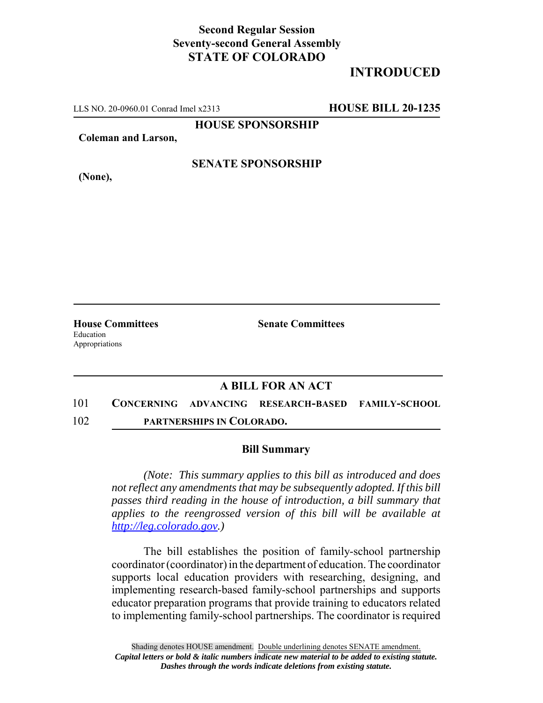## **Second Regular Session Seventy-second General Assembly STATE OF COLORADO**

# **INTRODUCED**

LLS NO. 20-0960.01 Conrad Imel x2313 **HOUSE BILL 20-1235**

**HOUSE SPONSORSHIP**

**Coleman and Larson,**

**(None),**

### **SENATE SPONSORSHIP**

Education Appropriations

**House Committees Senate Committees** 

### **A BILL FOR AN ACT**

101 **CONCERNING ADVANCING RESEARCH-BASED FAMILY-SCHOOL** 102 **PARTNERSHIPS IN COLORADO.**

#### **Bill Summary**

*(Note: This summary applies to this bill as introduced and does not reflect any amendments that may be subsequently adopted. If this bill passes third reading in the house of introduction, a bill summary that applies to the reengrossed version of this bill will be available at http://leg.colorado.gov.)*

The bill establishes the position of family-school partnership coordinator (coordinator) in the department of education. The coordinator supports local education providers with researching, designing, and implementing research-based family-school partnerships and supports educator preparation programs that provide training to educators related to implementing family-school partnerships. The coordinator is required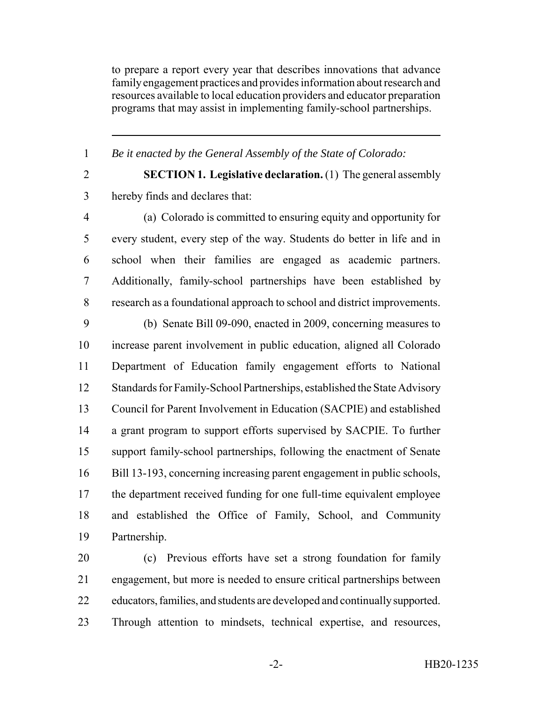to prepare a report every year that describes innovations that advance family engagement practices and provides information about research and resources available to local education providers and educator preparation programs that may assist in implementing family-school partnerships.

*Be it enacted by the General Assembly of the State of Colorado:*

 **SECTION 1. Legislative declaration.** (1) The general assembly hereby finds and declares that:

 (a) Colorado is committed to ensuring equity and opportunity for every student, every step of the way. Students do better in life and in school when their families are engaged as academic partners. Additionally, family-school partnerships have been established by research as a foundational approach to school and district improvements.

 (b) Senate Bill 09-090, enacted in 2009, concerning measures to increase parent involvement in public education, aligned all Colorado Department of Education family engagement efforts to National Standards for Family-School Partnerships, established the State Advisory Council for Parent Involvement in Education (SACPIE) and established a grant program to support efforts supervised by SACPIE. To further support family-school partnerships, following the enactment of Senate Bill 13-193, concerning increasing parent engagement in public schools, the department received funding for one full-time equivalent employee and established the Office of Family, School, and Community Partnership.

 (c) Previous efforts have set a strong foundation for family engagement, but more is needed to ensure critical partnerships between educators, families, and students are developed and continually supported. Through attention to mindsets, technical expertise, and resources,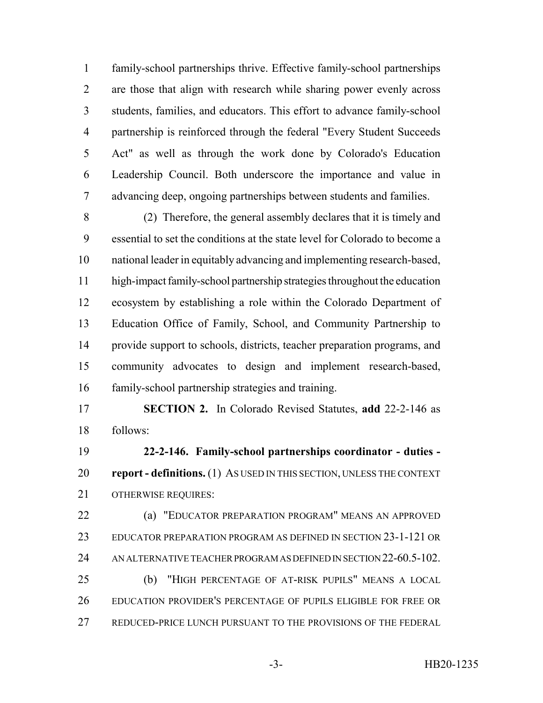family-school partnerships thrive. Effective family-school partnerships are those that align with research while sharing power evenly across students, families, and educators. This effort to advance family-school partnership is reinforced through the federal "Every Student Succeeds Act" as well as through the work done by Colorado's Education Leadership Council. Both underscore the importance and value in advancing deep, ongoing partnerships between students and families.

 (2) Therefore, the general assembly declares that it is timely and essential to set the conditions at the state level for Colorado to become a national leader in equitably advancing and implementing research-based, high-impact family-school partnership strategies throughout the education ecosystem by establishing a role within the Colorado Department of Education Office of Family, School, and Community Partnership to provide support to schools, districts, teacher preparation programs, and community advocates to design and implement research-based, family-school partnership strategies and training.

 **SECTION 2.** In Colorado Revised Statutes, **add** 22-2-146 as follows:

 **22-2-146. Family-school partnerships coordinator - duties - report - definitions.** (1) AS USED IN THIS SECTION, UNLESS THE CONTEXT OTHERWISE REQUIRES:

**(a) "EDUCATOR PREPARATION PROGRAM" MEANS AN APPROVED**  EDUCATOR PREPARATION PROGRAM AS DEFINED IN SECTION 23-1-121 OR 24 AN ALTERNATIVE TEACHER PROGRAM AS DEFINED IN SECTION 22-60.5-102. (b) "HIGH PERCENTAGE OF AT-RISK PUPILS" MEANS A LOCAL EDUCATION PROVIDER'S PERCENTAGE OF PUPILS ELIGIBLE FOR FREE OR REDUCED-PRICE LUNCH PURSUANT TO THE PROVISIONS OF THE FEDERAL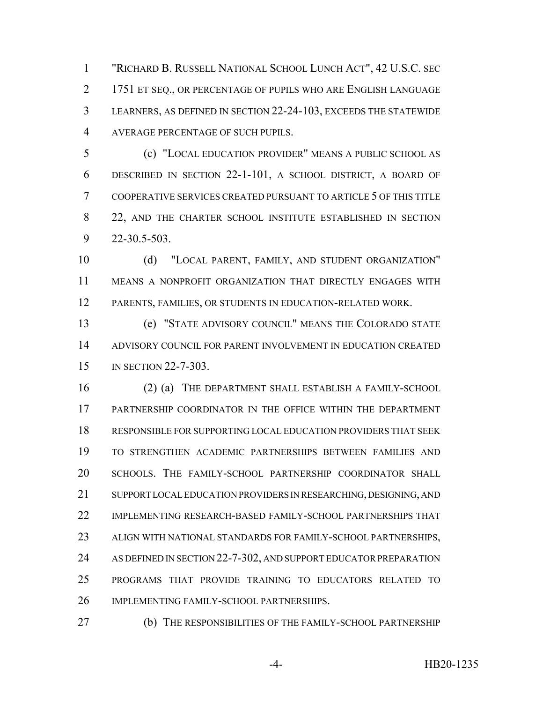"RICHARD B. RUSSELL NATIONAL SCHOOL LUNCH ACT", 42 U.S.C. SEC 1751 ET SEQ., OR PERCENTAGE OF PUPILS WHO ARE ENGLISH LANGUAGE LEARNERS, AS DEFINED IN SECTION 22-24-103, EXCEEDS THE STATEWIDE AVERAGE PERCENTAGE OF SUCH PUPILS.

 (c) "LOCAL EDUCATION PROVIDER" MEANS A PUBLIC SCHOOL AS DESCRIBED IN SECTION 22-1-101, A SCHOOL DISTRICT, A BOARD OF COOPERATIVE SERVICES CREATED PURSUANT TO ARTICLE 5 OF THIS TITLE 8 22, AND THE CHARTER SCHOOL INSTITUTE ESTABLISHED IN SECTION 22-30.5-503.

10 (d) "LOCAL PARENT, FAMILY, AND STUDENT ORGANIZATION" MEANS A NONPROFIT ORGANIZATION THAT DIRECTLY ENGAGES WITH PARENTS, FAMILIES, OR STUDENTS IN EDUCATION-RELATED WORK.

 (e) "STATE ADVISORY COUNCIL" MEANS THE COLORADO STATE ADVISORY COUNCIL FOR PARENT INVOLVEMENT IN EDUCATION CREATED IN SECTION 22-7-303.

 (2) (a) THE DEPARTMENT SHALL ESTABLISH A FAMILY-SCHOOL PARTNERSHIP COORDINATOR IN THE OFFICE WITHIN THE DEPARTMENT RESPONSIBLE FOR SUPPORTING LOCAL EDUCATION PROVIDERS THAT SEEK TO STRENGTHEN ACADEMIC PARTNERSHIPS BETWEEN FAMILIES AND SCHOOLS. THE FAMILY-SCHOOL PARTNERSHIP COORDINATOR SHALL SUPPORT LOCAL EDUCATION PROVIDERS IN RESEARCHING, DESIGNING, AND IMPLEMENTING RESEARCH-BASED FAMILY-SCHOOL PARTNERSHIPS THAT ALIGN WITH NATIONAL STANDARDS FOR FAMILY-SCHOOL PARTNERSHIPS, AS DEFINED IN SECTION 22-7-302, AND SUPPORT EDUCATOR PREPARATION PROGRAMS THAT PROVIDE TRAINING TO EDUCATORS RELATED TO IMPLEMENTING FAMILY-SCHOOL PARTNERSHIPS.

(b) THE RESPONSIBILITIES OF THE FAMILY-SCHOOL PARTNERSHIP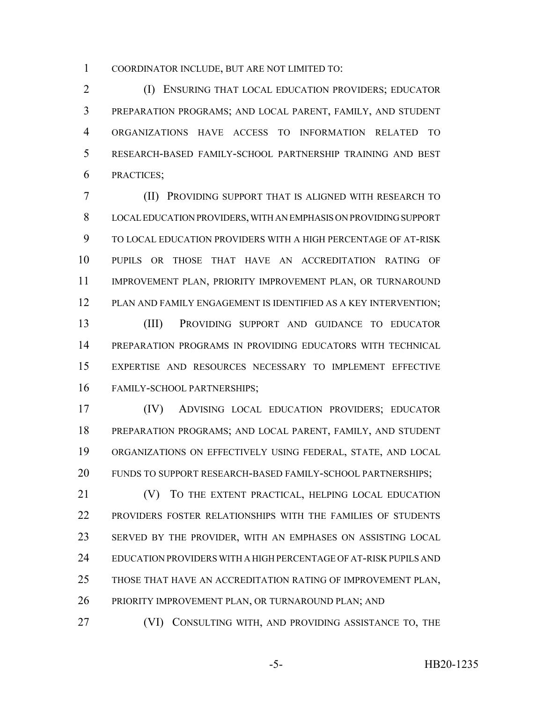COORDINATOR INCLUDE, BUT ARE NOT LIMITED TO:

 (I) ENSURING THAT LOCAL EDUCATION PROVIDERS; EDUCATOR PREPARATION PROGRAMS; AND LOCAL PARENT, FAMILY, AND STUDENT ORGANIZATIONS HAVE ACCESS TO INFORMATION RELATED TO RESEARCH-BASED FAMILY-SCHOOL PARTNERSHIP TRAINING AND BEST PRACTICES;

 (II) PROVIDING SUPPORT THAT IS ALIGNED WITH RESEARCH TO LOCAL EDUCATION PROVIDERS, WITH AN EMPHASIS ON PROVIDING SUPPORT TO LOCAL EDUCATION PROVIDERS WITH A HIGH PERCENTAGE OF AT-RISK PUPILS OR THOSE THAT HAVE AN ACCREDITATION RATING OF IMPROVEMENT PLAN, PRIORITY IMPROVEMENT PLAN, OR TURNAROUND PLAN AND FAMILY ENGAGEMENT IS IDENTIFIED AS A KEY INTERVENTION; (III) PROVIDING SUPPORT AND GUIDANCE TO EDUCATOR

 PREPARATION PROGRAMS IN PROVIDING EDUCATORS WITH TECHNICAL EXPERTISE AND RESOURCES NECESSARY TO IMPLEMENT EFFECTIVE FAMILY-SCHOOL PARTNERSHIPS;

 (IV) ADVISING LOCAL EDUCATION PROVIDERS; EDUCATOR PREPARATION PROGRAMS; AND LOCAL PARENT, FAMILY, AND STUDENT ORGANIZATIONS ON EFFECTIVELY USING FEDERAL, STATE, AND LOCAL FUNDS TO SUPPORT RESEARCH-BASED FAMILY-SCHOOL PARTNERSHIPS;

21 (V) TO THE EXTENT PRACTICAL, HELPING LOCAL EDUCATION PROVIDERS FOSTER RELATIONSHIPS WITH THE FAMILIES OF STUDENTS SERVED BY THE PROVIDER, WITH AN EMPHASES ON ASSISTING LOCAL EDUCATION PROVIDERS WITH A HIGH PERCENTAGE OF AT-RISK PUPILS AND THOSE THAT HAVE AN ACCREDITATION RATING OF IMPROVEMENT PLAN, PRIORITY IMPROVEMENT PLAN, OR TURNAROUND PLAN; AND

27 (VI) CONSULTING WITH, AND PROVIDING ASSISTANCE TO, THE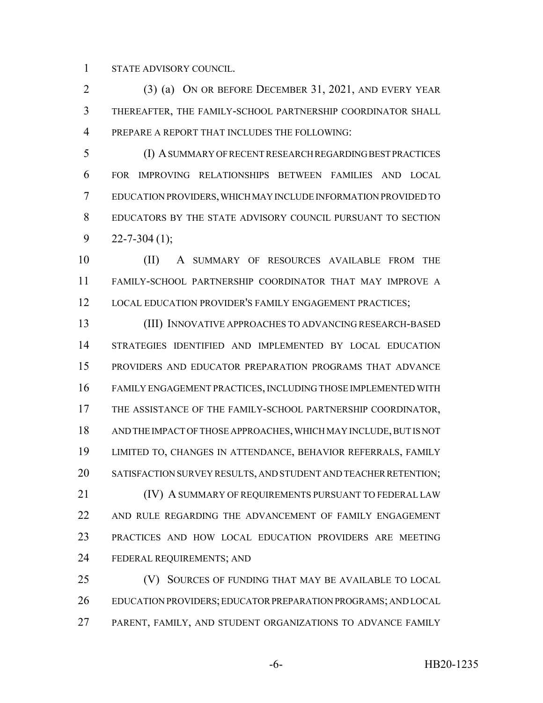STATE ADVISORY COUNCIL.

 (3) (a) ON OR BEFORE DECEMBER 31, 2021, AND EVERY YEAR THEREAFTER, THE FAMILY-SCHOOL PARTNERSHIP COORDINATOR SHALL PREPARE A REPORT THAT INCLUDES THE FOLLOWING:

 (I) A SUMMARY OF RECENT RESEARCH REGARDING BEST PRACTICES FOR IMPROVING RELATIONSHIPS BETWEEN FAMILIES AND LOCAL EDUCATION PROVIDERS, WHICH MAY INCLUDE INFORMATION PROVIDED TO EDUCATORS BY THE STATE ADVISORY COUNCIL PURSUANT TO SECTION  $9 \qquad 22 - 7 - 304 \tag{1}$ ;

10 (II) A SUMMARY OF RESOURCES AVAILABLE FROM THE FAMILY-SCHOOL PARTNERSHIP COORDINATOR THAT MAY IMPROVE A 12 LOCAL EDUCATION PROVIDER'S FAMILY ENGAGEMENT PRACTICES;

 (III) INNOVATIVE APPROACHES TO ADVANCING RESEARCH-BASED STRATEGIES IDENTIFIED AND IMPLEMENTED BY LOCAL EDUCATION PROVIDERS AND EDUCATOR PREPARATION PROGRAMS THAT ADVANCE FAMILY ENGAGEMENT PRACTICES, INCLUDING THOSE IMPLEMENTED WITH THE ASSISTANCE OF THE FAMILY-SCHOOL PARTNERSHIP COORDINATOR, AND THE IMPACT OF THOSE APPROACHES, WHICH MAY INCLUDE, BUT IS NOT LIMITED TO, CHANGES IN ATTENDANCE, BEHAVIOR REFERRALS, FAMILY SATISFACTION SURVEY RESULTS, AND STUDENT AND TEACHER RETENTION; **(IV) A SUMMARY OF REQUIREMENTS PURSUANT TO FEDERAL LAW**  AND RULE REGARDING THE ADVANCEMENT OF FAMILY ENGAGEMENT PRACTICES AND HOW LOCAL EDUCATION PROVIDERS ARE MEETING FEDERAL REQUIREMENTS; AND

 (V) SOURCES OF FUNDING THAT MAY BE AVAILABLE TO LOCAL EDUCATION PROVIDERS; EDUCATOR PREPARATION PROGRAMS; AND LOCAL PARENT, FAMILY, AND STUDENT ORGANIZATIONS TO ADVANCE FAMILY